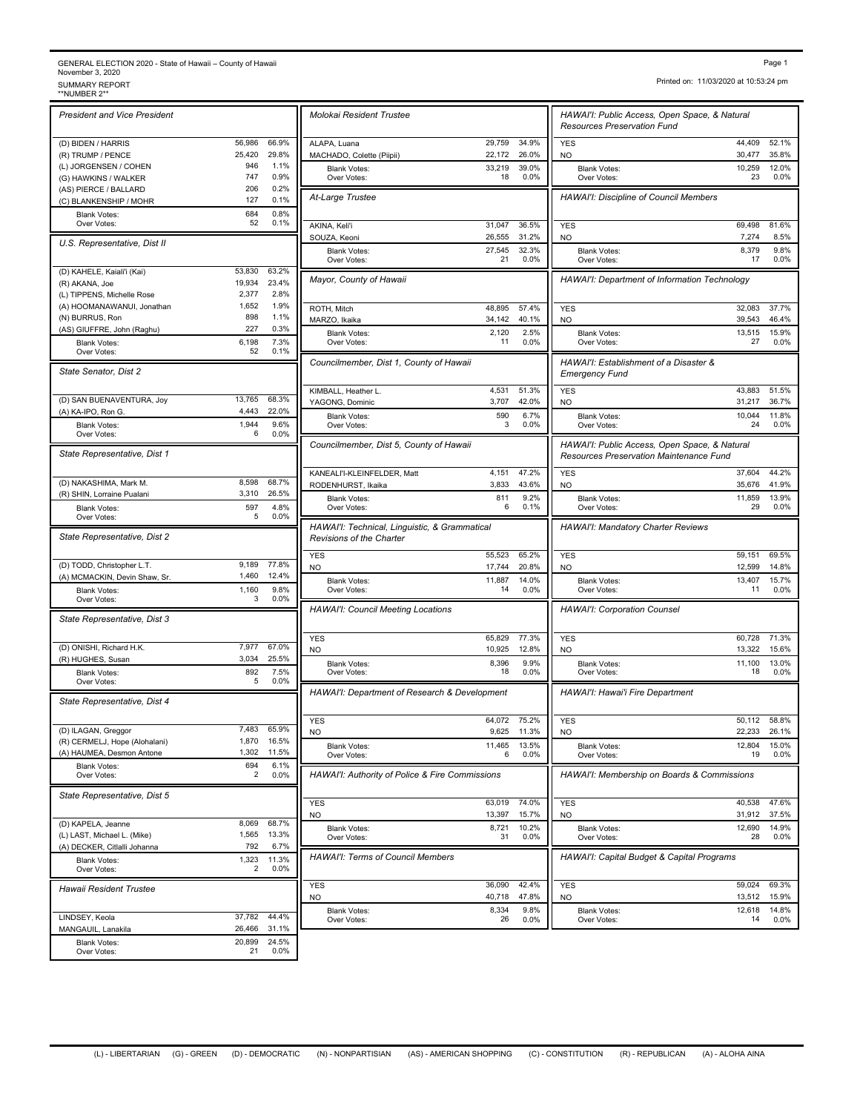## GENERAL ELECTION 2020 - State of Hawaii – County of Hawaii<br>November 3, 2020<br>\*NUMBER 2\*\* SUMMARY REPORT<br>\*\*NUMBER 2\*\*

| <b>President and Vice President</b>                 |                  |                | Molokai Resident Trustee               |
|-----------------------------------------------------|------------------|----------------|----------------------------------------|
| (D) BIDEN / HARRIS                                  | 56,986           | 66.9%          | ALAPA, Luana                           |
| (R) TRUMP / PENCE                                   | 25,420           | 29.8%          | MACHADO, Colette (Piipii)              |
| (L) JORGENSEN / COHEN                               | 946              | 1.1%           | <b>Blank Votes:</b>                    |
| (G) HAWKINS / WALKER                                | 747              | 0.9%           | Over Votes:                            |
| (AS) PIERCE / BALLARD                               | 206              | 0.2%           |                                        |
| (C) BLANKENSHIP / MOHR                              | 127              | 0.1%           | At-Large Trustee                       |
| <b>Blank Votes:</b>                                 | 684<br>52        | 0.8%<br>0.1%   |                                        |
| Over Votes:                                         |                  |                | AKINA, Keli'i<br>SOUZA, Keoni          |
| U.S. Representative, Dist II                        |                  |                | Blank Votes:                           |
| (D) KAHELE, Kaiali'i (Kai)                          | 53,830           | 63.2%          | Over Votes:                            |
| (R) AKANA, Joe                                      | 19,934           | 23.4%          | Mayor, County of Hawaii                |
| (L) TIPPENS, Michelle Rose                          | 2.377            | 2.8%           |                                        |
| (A) HOOMANAWANUI, Jonathan                          | 1,652            | 1.9%           |                                        |
| (N) BURRUS, Ron                                     | 898              | 1.1%           | ROTH, Mitch                            |
| (AS) GIUFFRE, John (Raghu)                          | 227              | 0.3%           | MARZO, Ikaika                          |
| <b>Blank Votes:</b>                                 | 6,198            | 7.3%           | <b>Blank Votes:</b><br>Over Votes:     |
| Over Votes:                                         | 52               | 0.1%           |                                        |
| State Senator, Dist 2                               |                  |                | Councilmember, Dist 1, Cou             |
|                                                     |                  |                | KIMBALL, Heather L.                    |
| (D) SAN BUENAVENTURA, Joy                           | 13,765           | 68.3%          | YAGONG, Dominic                        |
| (A) KA-IPO, Ron G.                                  | 4,443            | 22.0%          | <b>Blank Votes:</b>                    |
| <b>Blank Votes:</b>                                 | 1,944            | 9.6%           | Over Votes:                            |
| Over Votes:                                         | 6                | 0.0%           | Councilmember, Dist 5, Cou             |
| State Representative, Dist 1                        |                  |                |                                        |
| (D) NAKASHIMA, Mark M.                              | 8.598            | 68.7%          | KANEALI'I-KLEINFELDER, Mat             |
| (R) SHIN, Lorraine Pualani                          | 3,310            | 26.5%          | RODENHURST, Ikaika                     |
| <b>Blank Votes:</b>                                 | 597              | 4.8%           | <b>Blank Votes:</b><br>Over Votes:     |
| Over Votes:                                         | 5                | 0.0%           | HAWAI'I: Technical, Linguis            |
| State Representative, Dist 2                        |                  |                | Revisions of the Charter<br><b>YES</b> |
| (D) TODD, Christopher L.T.                          | 9,189            | 77.8%          | NO                                     |
| (A) MCMACKIN, Devin Shaw, Sr.                       | 1,460            | 12.4%          | <b>Blank Votes:</b>                    |
| <b>Blank Votes:</b>                                 | 1,160            | 9.8%           | Over Votes:                            |
| Over Votes:                                         | 3                | 0.0%           | <b>HAWAI'I: Council Meeting L</b>      |
|                                                     |                  |                |                                        |
| State Representative, Dist 3                        |                  |                |                                        |
|                                                     |                  |                | <b>YES</b>                             |
| (D) ONISHI, Richard H.K.                            | 7.977            | 67.0%          | NO                                     |
| (R) HUGHES, Susan                                   | 3,034            | 25.5%          | <b>Blank Votes:</b>                    |
| <b>Blank Votes:</b><br>Over Votes:                  | 892<br>5         | 7.5%<br>0.0%   | Over Votes:                            |
| State Representative, Dist 4                        |                  |                | HAWAI'I: Department of Re              |
|                                                     |                  |                | <b>YES</b>                             |
| (D) ILAGAN, Greggor                                 | 7,483            | 65.9%          | <b>NO</b>                              |
| (R) CERMELJ, Hope (Alohalani)                       | 1,870            | 16.5%          | Blank Votes:                           |
| (A) HAUMEA, Desmon Antone                           | 1,302            | 11.5%          | Over Votes:                            |
| <b>Blank Votes:</b><br>Over Votes:                  | 694<br>2         | 6.1%<br>0.0%   | HAWAI'I: Authority of Police           |
| State Representative, Dist 5                        |                  |                | YES                                    |
|                                                     |                  |                | NO                                     |
| (D) KAPELA, Jeanne                                  | 8,069            | 68.7%          | <b>Blank Votes:</b>                    |
| (L) LAST, Michael L. (Mike)                         | 1,565            | 13.3%          | Over Votes:                            |
| (A) DECKER, Citlalli Johanna<br><b>Blank Votes:</b> | 792<br>1,323     | 6.7%<br>11.3%  |                                        |
| Over Votes:                                         | 2                | 0.0%           | HAWAI'I: Terms of Council              |
| <b>Hawaii Resident Trustee</b>                      |                  |                | YES<br><b>NO</b>                       |
|                                                     |                  |                | <b>Blank Votes:</b>                    |
| LINDSEY, Keola                                      | 37,782           | 44.4%          | Over Votes:                            |
| MANGAUIL, Lanakila<br><b>Blank Votes:</b>           | 26,466<br>20,899 | 31.1%<br>24.5% |                                        |

| Molokai Resident Trustee                                                                                                                                        |                  |                |                                                                                                 |                  |                |
|-----------------------------------------------------------------------------------------------------------------------------------------------------------------|------------------|----------------|-------------------------------------------------------------------------------------------------|------------------|----------------|
|                                                                                                                                                                 |                  |                | HAWAI'I: Public Access, Open Space, & Natural<br><b>Resources Preservation Fund</b>             |                  |                |
| ALAPA, Luana                                                                                                                                                    | 29,759           | 34.9%          | <b>YES</b>                                                                                      | 44,409           | 52.1%          |
| MACHADO, Colette (Piipii)<br><b>Blank Votes:</b>                                                                                                                | 22,172<br>33,219 | 26.0%<br>39.0% | <b>NO</b><br><b>Blank Votes:</b>                                                                | 30,477<br>10,259 | 35.8%<br>12.0% |
| Over Votes:                                                                                                                                                     | 18               | 0.0%           | Over Votes:                                                                                     | 23               | 0.0%           |
| At-Large Trustee                                                                                                                                                |                  |                | HAWAI'I: Discipline of Council Members                                                          |                  |                |
| AKINA, Keli'i<br>SOUZA, Keoni                                                                                                                                   | 31,047<br>26,555 | 36.5%<br>31.2% | <b>YES</b><br><b>NO</b>                                                                         | 69,498<br>7,274  | 81.6%<br>8.5%  |
| <b>Blank Votes:</b><br>Over Votes:                                                                                                                              | 27,545<br>21     | 32.3%<br>0.0%  | <b>Blank Votes:</b><br>Over Votes:                                                              | 8,379<br>17      | 9.8%<br>0.0%   |
| Mayor, County of Hawaii                                                                                                                                         |                  |                | HAWAI'I: Department of Information Technology                                                   |                  |                |
| ROTH, Mitch                                                                                                                                                     | 48,895           | 57.4%          | <b>YES</b>                                                                                      | 32,083           | 37.7%          |
| MARZO, Ikaika                                                                                                                                                   | 34,142           | 40.1%          | <b>NO</b>                                                                                       | 39,543           | 46.4%          |
| <b>Blank Votes:</b><br>Over Votes:                                                                                                                              | 2,120<br>11      | 2.5%<br>0.0%   | <b>Blank Votes:</b><br>Over Votes:                                                              | 13,515<br>27     | 15.9%<br>0.0%  |
| Councilmember, Dist 1, County of Hawaii                                                                                                                         |                  |                | HAWAI'I: Establishment of a Disaster &<br><b>Emergency Fund</b>                                 |                  |                |
| KIMBALL, Heather L.                                                                                                                                             | 4,531            | 51.3%          | <b>YES</b>                                                                                      | 43.883           | 51.5%          |
| YAGONG, Dominic<br><b>Blank Votes:</b>                                                                                                                          | 3,707<br>590     | 42.0%<br>6.7%  | <b>NO</b><br><b>Blank Votes:</b>                                                                | 31,217<br>10,044 | 36.7%<br>11.8% |
| Over Votes:                                                                                                                                                     | 3                | 0.0%           | Over Votes:                                                                                     | 24               | 0.0%           |
| Councilmember, Dist 5, County of Hawaii                                                                                                                         |                  |                | HAWAI'I: Public Access, Open Space, & Natural<br><b>Resources Preservation Maintenance Fund</b> |                  |                |
| KANEALI'I-KLEINFELDER, Matt                                                                                                                                     | 4,151<br>3,833   | 47.2%<br>43.6% | <b>YES</b>                                                                                      | 37,604<br>35,676 | 44.2%<br>41.9% |
| RODENHURST, Ikaika<br><b>Blank Votes:</b><br>Over Votes:                                                                                                        | 811<br>6         | 9.2%<br>0.1%   | <b>NO</b><br><b>Blank Votes:</b><br>Over Votes:                                                 | 11,859<br>29     | 13.9%<br>0.0%  |
| HAWAI'I: Technical, Linguistic, & Grammatical<br>Revisions of the Charter                                                                                       |                  |                | <b>HAWAI'I: Mandatory Charter Reviews</b>                                                       |                  |                |
|                                                                                                                                                                 |                  | 65.2%          | <b>YES</b>                                                                                      | 59,151           | 69.5%          |
|                                                                                                                                                                 | 55,523           |                |                                                                                                 |                  | 14.8%          |
|                                                                                                                                                                 | 17,744           | 20.8%          | N <sub>O</sub>                                                                                  | 12,599           |                |
| <b>Blank Votes:</b><br>Over Votes:                                                                                                                              | 11,887<br>14     | 14.0%<br>0.0%  | <b>Blank Votes:</b><br>Over Votes:                                                              | 13,407<br>11     | 15.7%<br>0.0%  |
|                                                                                                                                                                 |                  |                | <b>HAWAI'I: Corporation Counsel</b>                                                             |                  |                |
| <b>YES</b><br>N <sub>O</sub><br><b>HAWAI'I: Council Meeting Locations</b><br><b>YES</b><br><b>NO</b>                                                            | 65,829<br>10,925 | 77.3%<br>12.8% | <b>YES</b><br><b>NO</b>                                                                         | 60,728<br>13,322 | 71.3%<br>15.6% |
| <b>Blank Votes:</b><br>Over Votes:                                                                                                                              | 8,396<br>18      | 9.9%<br>0.0%   | <b>Blank Votes:</b><br>Over Votes:                                                              | 11,100<br>18     | 13.0%<br>0.0%  |
|                                                                                                                                                                 |                  |                | HAWAI'I: Hawai'i Fire Department                                                                |                  |                |
|                                                                                                                                                                 | 64,072           | 75.2%          | <b>YES</b>                                                                                      | 50,112           | 58.8%          |
|                                                                                                                                                                 | 9,625            | 11.3%          | NO                                                                                              | 22,233           | 26.1%          |
| <b>Blank Votes:</b><br>Over Votes:                                                                                                                              | 11,465<br>6      | 13.5%<br>0.0%  | <b>Blank Votes:</b><br>Over Votes:                                                              | 12,804<br>19     | 15.0%<br>0.0%  |
|                                                                                                                                                                 |                  |                | HAWAI'I: Membership on Boards & Commissions                                                     |                  |                |
|                                                                                                                                                                 | 63,019           | 74.0%          | <b>YES</b>                                                                                      | 40,538           | 47.6%          |
| HAWAI'I: Department of Research & Development<br><b>YES</b><br>NO<br>HAWAI'I: Authority of Police & Fire Commissions<br><b>YES</b><br>NO<br><b>Blank Votes:</b> | 13,397<br>8,721  | 15.7%<br>10.2% | NO<br><b>Blank Votes:</b>                                                                       | 31,912<br>12,690 | 37.5%<br>14.9% |
| Over Votes:                                                                                                                                                     | 31               | $0.0\%$        | Over Votes:                                                                                     | 28               | 0.0%           |
| <b>HAWAI'I: Terms of Council Members</b>                                                                                                                        |                  |                | HAWAI'I: Capital Budget & Capital Programs                                                      |                  |                |
| <b>YES</b><br><b>NO</b>                                                                                                                                         | 36.090<br>40,718 | 42.4%<br>47.8% | <b>YES</b><br>NO                                                                                | 59,024<br>13,512 | 69.3%<br>15.9% |

Printed on: 11/03/2020 at 10:53:24 pm